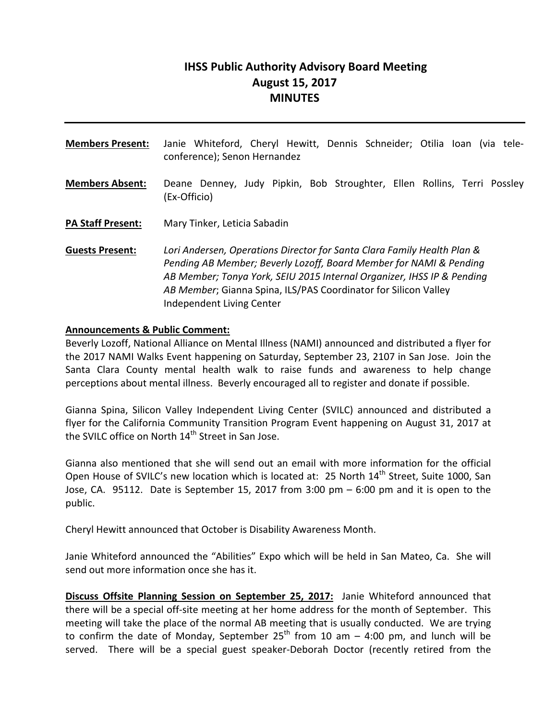# **IHSS Public Authority Advisory Board Meeting August 15, 2017 MINUTES**

**Members Present:** Janie Whiteford, Cheryl Hewitt, Dennis Schneider; Otilia Ioan (via tele‐ conference); Senon Hernandez **Members Absent:** Deane Denney, Judy Pipkin, Bob Stroughter, Ellen Rollins, Terri Possley (Ex‐Officio) **PA Staff Present:** Mary Tinker, Leticia Sabadin **Guests Present:** *Lori Andersen, Operations Director for Santa Clara Family Health Plan & Pending AB Member; Beverly Lozoff, Board Member for NAMI & Pending AB Member; Tonya York, SEIU 2015 Internal Organizer, IHSS IP & Pending AB Member*; Gianna Spina, ILS/PAS Coordinator for Silicon Valley Independent Living Center

#### **Announcements & Public Comment:**

Beverly Lozoff, National Alliance on Mental Illness (NAMI) announced and distributed a flyer for the 2017 NAMI Walks Event happening on Saturday, September 23, 2107 in San Jose. Join the Santa Clara County mental health walk to raise funds and awareness to help change perceptions about mental illness. Beverly encouraged all to register and donate if possible.

Gianna Spina, Silicon Valley Independent Living Center (SVILC) announced and distributed a flyer for the California Community Transition Program Event happening on August 31, 2017 at the SVILC office on North 14<sup>th</sup> Street in San Jose.

Gianna also mentioned that she will send out an email with more information for the official Open House of SVILC's new location which is located at: 25 North 14<sup>th</sup> Street, Suite 1000. San Jose, CA. 95112. Date is September 15, 2017 from 3:00 pm – 6:00 pm and it is open to the public.

Cheryl Hewitt announced that October is Disability Awareness Month.

Janie Whiteford announced the "Abilities" Expo which will be held in San Mateo, Ca. She will send out more information once she has it.

**Discuss Offsite Planning Session on September 25, 2017:** Janie Whiteford announced that there will be a special off‐site meeting at her home address for the month of September. This meeting will take the place of the normal AB meeting that is usually conducted. We are trying to confirm the date of Monday, September  $25<sup>th</sup>$  from 10 am  $-$  4:00 pm, and lunch will be served. There will be a special guest speaker-Deborah Doctor (recently retired from the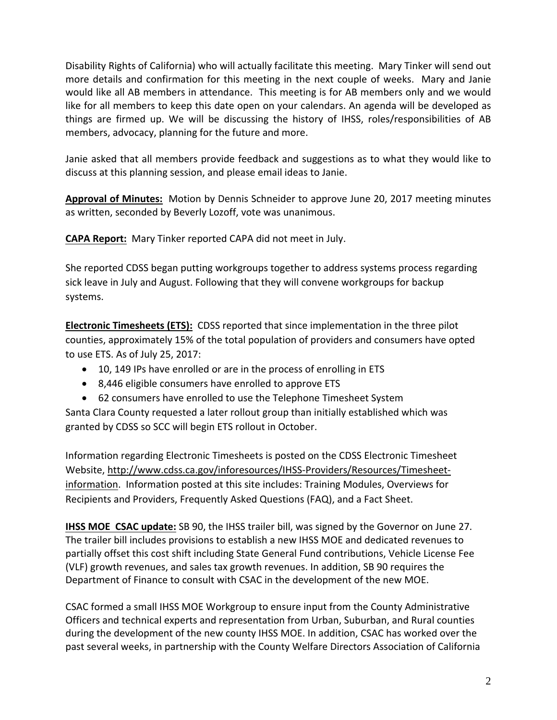Disability Rights of California) who will actually facilitate this meeting. Mary Tinker will send out more details and confirmation for this meeting in the next couple of weeks. Mary and Janie would like all AB members in attendance. This meeting is for AB members only and we would like for all members to keep this date open on your calendars. An agenda will be developed as things are firmed up. We will be discussing the history of IHSS, roles/responsibilities of AB members, advocacy, planning for the future and more.

Janie asked that all members provide feedback and suggestions as to what they would like to discuss at this planning session, and please email ideas to Janie.

**Approval of Minutes:** Motion by Dennis Schneider to approve June 20, 2017 meeting minutes as written, seconded by Beverly Lozoff, vote was unanimous.

**CAPA Report:** Mary Tinker reported CAPA did not meet in July.

She reported CDSS began putting workgroups together to address systems process regarding sick leave in July and August. Following that they will convene workgroups for backup systems.

**Electronic Timesheets (ETS):** CDSS reported that since implementation in the three pilot counties, approximately 15% of the total population of providers and consumers have opted to use ETS. As of July 25, 2017:

- 10, 149 IPs have enrolled or are in the process of enrolling in ETS
- 8,446 eligible consumers have enrolled to approve ETS
- 62 consumers have enrolled to use the Telephone Timesheet System

Santa Clara County requested a later rollout group than initially established which was granted by CDSS so SCC will begin ETS rollout in October.

Information regarding Electronic Timesheets is posted on the CDSS Electronic Timesheet Website, http://www.cdss.ca.gov/inforesources/IHSS‐Providers/Resources/Timesheet‐ information. Information posted at this site includes: Training Modules, Overviews for Recipients and Providers, Frequently Asked Questions (FAQ), and a Fact Sheet.

**IHSS MOE CSAC update:** SB 90, the IHSS trailer bill, was signed by the Governor on June 27. The trailer bill includes provisions to establish a new IHSS MOE and dedicated revenues to partially offset this cost shift including State General Fund contributions, Vehicle License Fee (VLF) growth revenues, and sales tax growth revenues. In addition, SB 90 requires the Department of Finance to consult with CSAC in the development of the new MOE.

CSAC formed a small IHSS MOE Workgroup to ensure input from the County Administrative Officers and technical experts and representation from Urban, Suburban, and Rural counties during the development of the new county IHSS MOE. In addition, CSAC has worked over the past several weeks, in partnership with the County Welfare Directors Association of California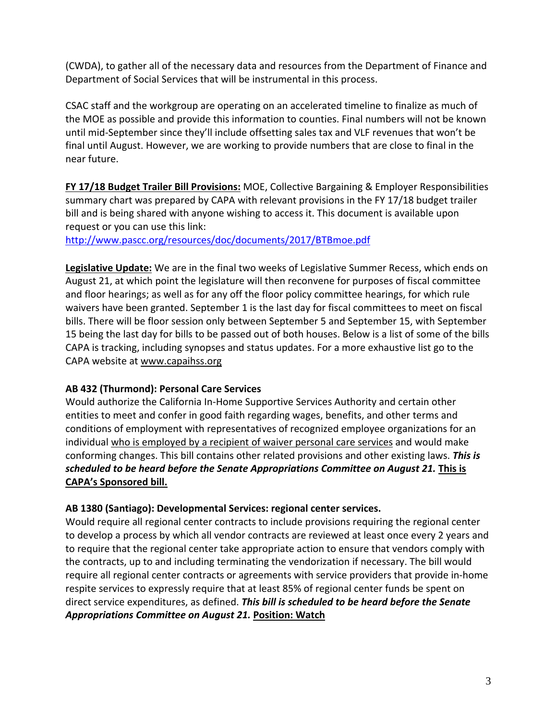(CWDA), to gather all of the necessary data and resources from the Department of Finance and Department of Social Services that will be instrumental in this process.

CSAC staff and the workgroup are operating on an accelerated timeline to finalize as much of the MOE as possible and provide this information to counties. Final numbers will not be known until mid‐September since they'll include offsetting sales tax and VLF revenues that won't be final until August. However, we are working to provide numbers that are close to final in the near future.

**FY 17/18 Budget Trailer Bill Provisions:** MOE, Collective Bargaining & Employer Responsibilities summary chart was prepared by CAPA with relevant provisions in the FY 17/18 budget trailer bill and is being shared with anyone wishing to access it. This document is available upon request or you can use this link:

http://www.pascc.org/resources/doc/documents/2017/BTBmoe.pdf

**Legislative Update:** We are in the final two weeks of Legislative Summer Recess, which ends on August 21, at which point the legislature will then reconvene for purposes of fiscal committee and floor hearings; as well as for any off the floor policy committee hearings, for which rule waivers have been granted. September 1 is the last day for fiscal committees to meet on fiscal bills. There will be floor session only between September 5 and September 15, with September 15 being the last day for bills to be passed out of both houses. Below is a list of some of the bills CAPA is tracking, including synopses and status updates. For a more exhaustive list go to the CAPA website at www.capaihss.org

#### **AB 432 (Thurmond): Personal Care Services**

Would authorize the California In‐Home Supportive Services Authority and certain other entities to meet and confer in good faith regarding wages, benefits, and other terms and conditions of employment with representatives of recognized employee organizations for an individual who is employed by a recipient of waiver personal care services and would make conforming changes. This bill contains other related provisions and other existing laws. *This is scheduled to be heard before the Senate Appropriations Committee on August 21.* **This is CAPA's Sponsored bill.**

#### **AB 1380 (Santiago): Developmental Services: regional center services.**

Would require all regional center contracts to include provisions requiring the regional center to develop a process by which all vendor contracts are reviewed at least once every 2 years and to require that the regional center take appropriate action to ensure that vendors comply with the contracts, up to and including terminating the vendorization if necessary. The bill would require all regional center contracts or agreements with service providers that provide in‐home respite services to expressly require that at least 85% of regional center funds be spent on direct service expenditures, as defined. *This bill is scheduled to be heard before the Senate Appropriations Committee on August 21.* **Position: Watch**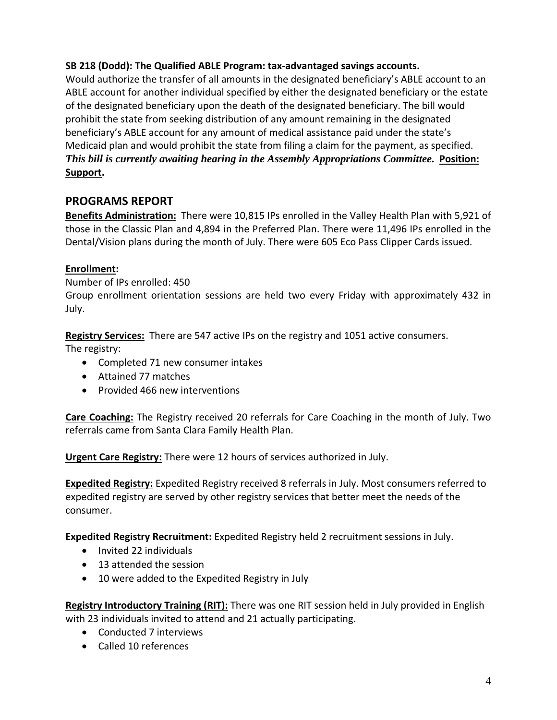#### **SB 218 (Dodd): The Qualified ABLE Program: tax‐advantaged savings accounts.**

Would authorize the transfer of all amounts in the designated beneficiary's ABLE account to an ABLE account for another individual specified by either the designated beneficiary or the estate of the designated beneficiary upon the death of the designated beneficiary. The bill would prohibit the state from seeking distribution of any amount remaining in the designated beneficiary's ABLE account for any amount of medical assistance paid under the state's Medicaid plan and would prohibit the state from filing a claim for the payment, as specified. *This bill is currently awaiting hearing in the Assembly Appropriations Committee.* Position: **Support.**

## **PROGRAMS REPORT**

**Benefits Administration:** There were 10,815 IPs enrolled in the Valley Health Plan with 5,921 of those in the Classic Plan and 4,894 in the Preferred Plan. There were 11,496 IPs enrolled in the Dental/Vision plans during the month of July. There were 605 Eco Pass Clipper Cards issued.

### **Enrollment:**

Number of IPs enrolled: 450

Group enrollment orientation sessions are held two every Friday with approximately 432 in July.

**Registry Services:** There are 547 active IPs on the registry and 1051 active consumers.

The registry:

- Completed 71 new consumer intakes
- Attained 77 matches
- Provided 466 new interventions

**Care Coaching:** The Registry received 20 referrals for Care Coaching in the month of July. Two referrals came from Santa Clara Family Health Plan.

**Urgent Care Registry:** There were 12 hours of services authorized in July.

**Expedited Registry:** Expedited Registry received 8 referrals in July. Most consumers referred to expedited registry are served by other registry services that better meet the needs of the consumer.

**Expedited Registry Recruitment:** Expedited Registry held 2 recruitment sessions in July.

- Invited 22 individuals
- 13 attended the session
- 10 were added to the Expedited Registry in July

**Registry Introductory Training (RIT):** There was one RIT session held in July provided in English with 23 individuals invited to attend and 21 actually participating.

- Conducted 7 interviews
- Called 10 references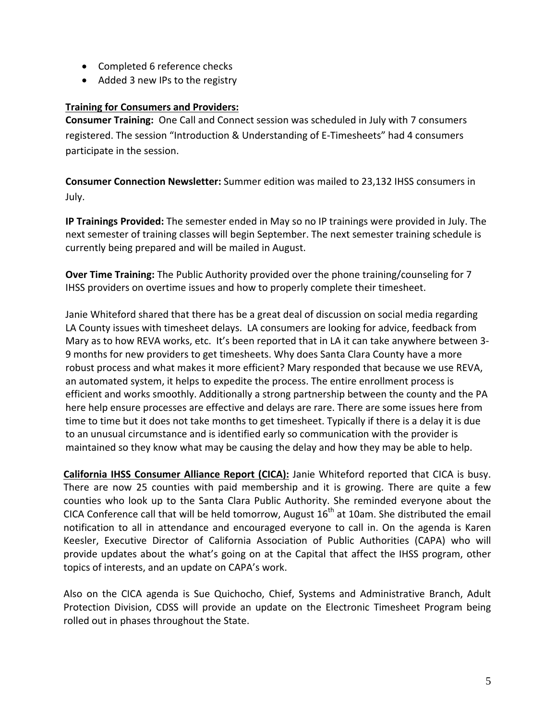- Completed 6 reference checks
- Added 3 new IPs to the registry

#### **Training for Consumers and Providers:**

**Consumer Training:** One Call and Connect session was scheduled in July with 7 consumers registered. The session "Introduction & Understanding of E‐Timesheets" had 4 consumers participate in the session.

**Consumer Connection Newsletter:** Summer edition was mailed to 23,132 IHSS consumers in July.

**IP Trainings Provided:** The semester ended in May so no IP trainings were provided in July. The next semester of training classes will begin September. The next semester training schedule is currently being prepared and will be mailed in August.

**Over Time Training:** The Public Authority provided over the phone training/counseling for 7 IHSS providers on overtime issues and how to properly complete their timesheet.

Janie Whiteford shared that there has be a great deal of discussion on social media regarding LA County issues with timesheet delays. LA consumers are looking for advice, feedback from Mary as to how REVA works, etc. It's been reported that in LA it can take anywhere between 3-9 months for new providers to get timesheets. Why does Santa Clara County have a more robust process and what makes it more efficient? Mary responded that because we use REVA, an automated system, it helps to expedite the process. The entire enrollment process is efficient and works smoothly. Additionally a strong partnership between the county and the PA here help ensure processes are effective and delays are rare. There are some issues here from time to time but it does not take months to get timesheet. Typically if there is a delay it is due to an unusual circumstance and is identified early so communication with the provider is maintained so they know what may be causing the delay and how they may be able to help.

**California IHSS Consumer Alliance Report (CICA):** Janie Whiteford reported that CICA is busy. There are now 25 counties with paid membership and it is growing. There are quite a few counties who look up to the Santa Clara Public Authority. She reminded everyone about the CICA Conference call that will be held tomorrow, August  $16<sup>th</sup>$  at 10am. She distributed the email notification to all in attendance and encouraged everyone to call in. On the agenda is Karen Keesler, Executive Director of California Association of Public Authorities (CAPA) who will provide updates about the what's going on at the Capital that affect the IHSS program, other topics of interests, and an update on CAPA's work.

Also on the CICA agenda is Sue Quichocho, Chief, Systems and Administrative Branch, Adult Protection Division, CDSS will provide an update on the Electronic Timesheet Program being rolled out in phases throughout the State.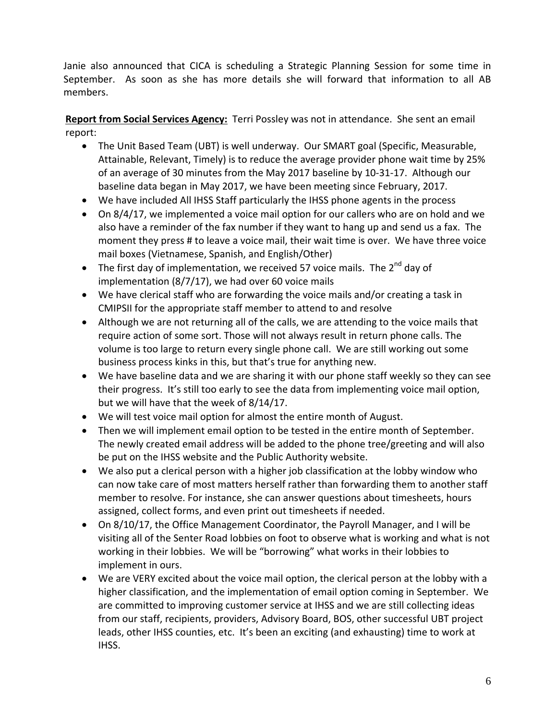Janie also announced that CICA is scheduling a Strategic Planning Session for some time in September. As soon as she has more details she will forward that information to all AB members.

**Report from Social Services Agency:** Terri Possley was not in attendance. She sent an email report:

- The Unit Based Team (UBT) is well underway. Our SMART goal (Specific, Measurable, Attainable, Relevant, Timely) is to reduce the average provider phone wait time by 25% of an average of 30 minutes from the May 2017 baseline by 10‐31‐17. Although our baseline data began in May 2017, we have been meeting since February, 2017.
- We have included All IHSS Staff particularly the IHSS phone agents in the process
- On 8/4/17, we implemented a voice mail option for our callers who are on hold and we also have a reminder of the fax number if they want to hang up and send us a fax. The moment they press # to leave a voice mail, their wait time is over. We have three voice mail boxes (Vietnamese, Spanish, and English/Other)
- The first day of implementation, we received 57 voice mails. The  $2^{nd}$  day of implementation (8/7/17), we had over 60 voice mails
- We have clerical staff who are forwarding the voice mails and/or creating a task in CMIPSII for the appropriate staff member to attend to and resolve
- Although we are not returning all of the calls, we are attending to the voice mails that require action of some sort. Those will not always result in return phone calls. The volume is too large to return every single phone call. We are still working out some business process kinks in this, but that's true for anything new.
- We have baseline data and we are sharing it with our phone staff weekly so they can see their progress. It's still too early to see the data from implementing voice mail option, but we will have that the week of 8/14/17.
- We will test voice mail option for almost the entire month of August.
- Then we will implement email option to be tested in the entire month of September. The newly created email address will be added to the phone tree/greeting and will also be put on the IHSS website and the Public Authority website.
- We also put a clerical person with a higher job classification at the lobby window who can now take care of most matters herself rather than forwarding them to another staff member to resolve. For instance, she can answer questions about timesheets, hours assigned, collect forms, and even print out timesheets if needed.
- On 8/10/17, the Office Management Coordinator, the Payroll Manager, and I will be visiting all of the Senter Road lobbies on foot to observe what is working and what is not working in their lobbies. We will be "borrowing" what works in their lobbies to implement in ours.
- We are VERY excited about the voice mail option, the clerical person at the lobby with a higher classification, and the implementation of email option coming in September. We are committed to improving customer service at IHSS and we are still collecting ideas from our staff, recipients, providers, Advisory Board, BOS, other successful UBT project leads, other IHSS counties, etc. It's been an exciting (and exhausting) time to work at IHSS.